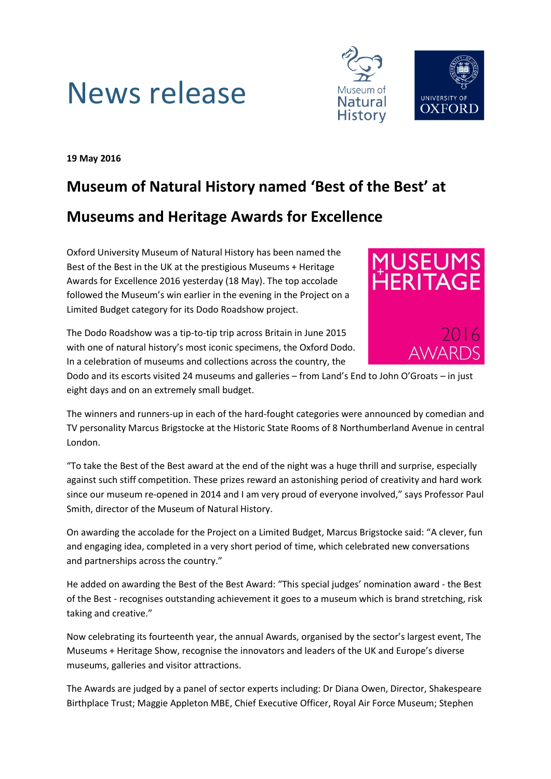



**19 May 2016**

# **Museum of Natural History named 'Best of the Best' at**

## **Museums and Heritage Awards for Excellence**

Oxford University Museum of Natural History has been named the Best of the Best in the UK at the prestigious Museums + Heritage Awards for Excellence 2016 yesterday (18 May). The top accolade followed the Museum's win earlier in the evening in the Project on a Limited Budget category for its Dodo Roadshow project.

The Dodo Roadshow was a tip-to-tip trip across Britain in June 2015 with one of natural history's most iconic specimens, the Oxford Dodo. In a celebration of museums and collections across the country, the



Dodo and its escorts visited 24 museums and galleries – from Land's End to John O'Groats – in just eight days and on an extremely small budget.

The winners and runners-up in each of the hard-fought categories were announced by comedian and TV personality Marcus Brigstocke at the Historic State Rooms of 8 Northumberland Avenue in central London.

"To take the Best of the Best award at the end of the night was a huge thrill and surprise, especially against such stiff competition. These prizes reward an astonishing period of creativity and hard work since our museum re-opened in 2014 and I am very proud of everyone involved," says Professor Paul Smith, director of the Museum of Natural History.

On awarding the accolade for the Project on a Limited Budget, Marcus Brigstocke said: "A clever, fun and engaging idea, completed in a very short period of time, which celebrated new conversations and partnerships across the country."

He added on awarding the Best of the Best Award: "This special judges' nomination award - the Best of the Best - recognises outstanding achievement it goes to a museum which is brand stretching, risk taking and creative."

Now celebrating its fourteenth year, the annual Awards, organised by the sector's largest event, The Museums + Heritage Show, recognise the innovators and leaders of the UK and Europe's diverse museums, galleries and visitor attractions.

The Awards are judged by a panel of sector experts including: Dr Diana Owen, Director, Shakespeare Birthplace Trust; Maggie Appleton MBE, Chief Executive Officer, Royal Air Force Museum; Stephen